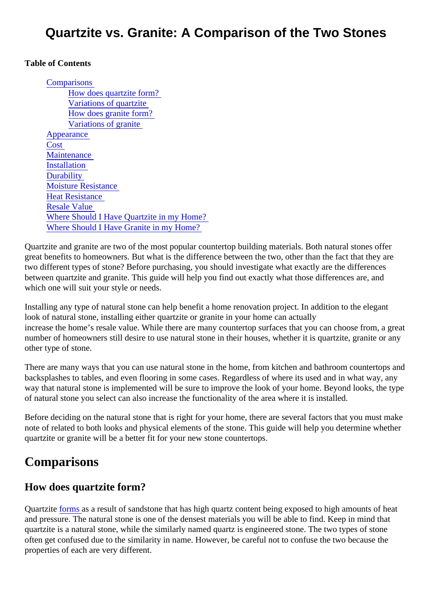#### Table of Contents

**Comparisons** How does quartzite form? [Variations of quartzite](#page-1-0) [How does granite form](#page-1-0)? [Variations of granite](#page-1-0) [Appearance](#page-1-0) **Cost [Maintenance](#page-1-0) [Installation](#page-2-0) Durability** [Moisture Resistanc](#page-2-0)e **[Heat Resistanc](#page-2-0)e** [Resale Value](#page-3-0) [Where Should I Have Quartzite in my Hom](#page-3-0)e? [Where Should I Have Granite in my Hom](#page-3-0)e?

Quartzite and granite are two of the most popular countertop building materials. Both natural stones offer great benefits to homeowners. But what is the difference between the two, other than the fact that they are two different types of stone? Before purchasing, you should investigate what exactly are the differences between quartzite and granite. This guide will help you find out exactly what those differences are, and which one will suit your style or needs.

Installing any type of natural stone can help benefit a home renovation project. In addition to the elegant look of natural stone, installing either quartzite or granite in your home can actually increase the home's resale value. While there are many countertop surfaces that you can choose from, a number of homeowners still desire to use natural stone in their houses, whether it is quartzite, granite or a other type of stone.

There are many ways that you can use natural stone in the home, from kitchen and bathroom countertops backsplashes to tables, and even flooring in some cases. Regardless of where its used and in what way, any way that natural stone is implemented will be sure to improve the look of your home. Beyond looks, the type of natural stone you select can also increase the functionality of the area where it is installed.

Before deciding on the natural stone that is right for your home, there are several factors that you must make note of related to both looks and physical elements of the stone. This guide will help you determine whether quartzite or granite will be a better fit for your new stone countertops.

## **Comparisons**

How does quartzite form?

Quartzit[e forms a](https://study.com/academy/lesson/what-is-quartzite-properties-uses-facts.html)s a result of sandstone that has high quartz content being exposed to high amounts of heat and pressure. The natural stone is one of the densest materials you will be able to find. Keep in mind that quartzite is a natural stone, while the similarly named quartz is engineered stone. The two types of stone often get confused due to the similarity in name. However, be careful not to confuse the two because the properties of each are very different.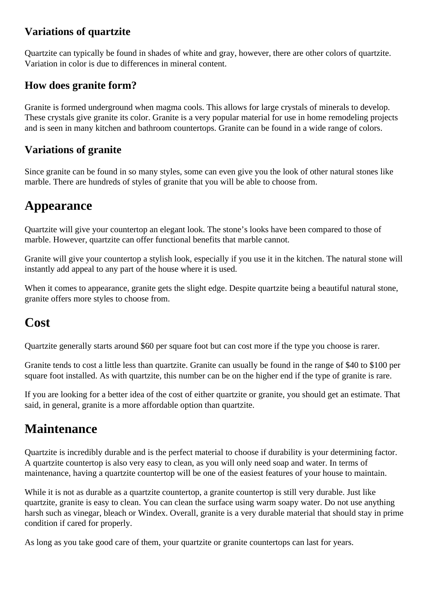### <span id="page-1-0"></span>**Variations of quartzite**

Quartzite can typically be found in shades of white and gray, however, there are other colors of quartzite. Variation in color is due to differences in mineral content.

#### **How does granite form?**

Granite is formed underground when magma cools. This allows for large crystals of minerals to develop. These crystals give granite its color. Granite is a very popular material for use in home remodeling projects and is seen in many kitchen and bathroom countertops. Granite can be found in a wide range of colors.

### **Variations of granite**

Since granite can be found in so many styles, some can even give you the look of other natural stones like marble. There are hundreds of styles of granite that you will be able to choose from.

## **Appearance**

Quartzite will give your countertop an elegant look. The stone's looks have been compared to those of marble. However, quartzite can offer functional benefits that marble cannot.

Granite will give your countertop a stylish look, especially if you use it in the kitchen. The natural stone will instantly add appeal to any part of the house where it is used.

When it comes to appearance, granite gets the slight edge. Despite quartzite being a beautiful natural stone, granite offers more styles to choose from.

## **Cost**

Quartzite generally starts around \$60 per square foot but can cost more if the type you choose is rarer.

Granite tends to cost a little less than quartzite. Granite can usually be found in the range of \$40 to \$100 per square foot installed. As with quartzite, this number can be on the higher end if the type of granite is rare.

If you are looking for a better idea of the cost of either quartzite or granite, you should get an estimate. That said, in general, granite is a more affordable option than quartzite.

# **Maintenance**

Quartzite is incredibly durable and is the perfect material to choose if durability is your determining factor. A quartzite countertop is also very easy to clean, as you will only need soap and water. In terms of maintenance, having a quartzite countertop will be one of the easiest features of your house to maintain.

While it is not as durable as a quartzite countertop, a granite countertop is still very durable. Just like quartzite, granite is easy to clean. You can clean the surface using warm soapy water. Do not use anything harsh such as vinegar, bleach or Windex. Overall, granite is a very durable material that should stay in prime condition if cared for properly.

As long as you take good care of them, your quartzite or granite countertops can last for years.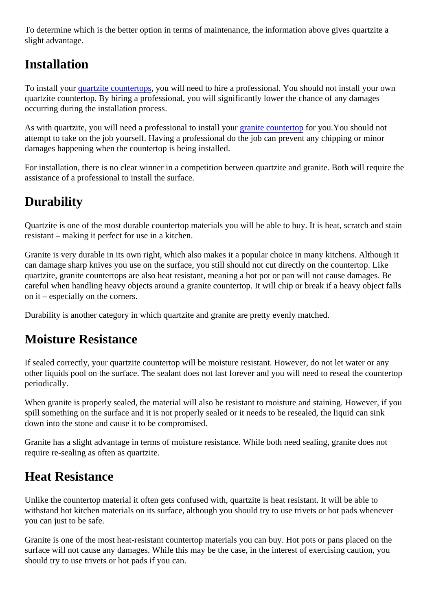<span id="page-2-0"></span>To determine which is the better option in terms of maintenance, the information above gives quartzite a slight advantage.

### Installation

To install you[r quartzite countertop](https://marble.com/quartzite-countertops)s you will need to hire a professional. You should not install your own quartzite countertop. By hiring a professional, you will significantly lower the chance of any damages occurring during the installation process.

As with quartzite, you will need a professional to install [your granite counterto](https://marble.com/granite-countertops)rfor you. You should not attempt to take on the job yourself. Having a professional do the job can prevent any chipping or minor damages happening when the countertop is being installed.

For installation, there is no clear winner in a competition between quartzite and granite. Both will require th assistance of a professional to install the surface.

## **Durability**

Quartzite is one of the most durable countertop materials you will be able to buy. It is heat, scratch and sta resistant – making it perfect for use in a kitchen.

Granite is very durable in its own right, which also makes it a popular choice in many kitchens. Although it can damage sharp knives you use on the surface, you still should not cut directly on the countertop. Like quartzite, granite countertops are also heat resistant, meaning a hot pot or pan will not cause damages. B careful when handling heavy objects around a granite countertop. It will chip or break if a heavy object falls on it – especially on the corners.

Durability is another category in which quartzite and granite are pretty evenly matched.

## Moisture Resistance

If sealed correctly, your quartzite countertop will be moisture resistant. However, do not let water or any other liquids pool on the surface. The sealant does not last forever and you will need to reseal the counter periodically.

When granite is properly sealed, the material will also be resistant to moisture and staining. However, if you spill something on the surface and it is not properly sealed or it needs to be resealed, the liquid can sink down into the stone and cause it to be compromised.

Granite has a slight advantage in terms of moisture resistance. While both need sealing, granite does not require re-sealing as often as quartzite.

## Heat Resistance

Unlike the countertop material it often gets confused with, quartzite is heat resistant. It will be able to withstand hot kitchen materials on its surface, although you should try to use trivets or hot pads whenever you can just to be safe.

Granite is one of the most heat-resistant countertop materials you can buy. Hot pots or pans placed on the surface will not cause any damages. While this may be the case, in the interest of exercising caution, you should try to use trivets or hot pads if you can.